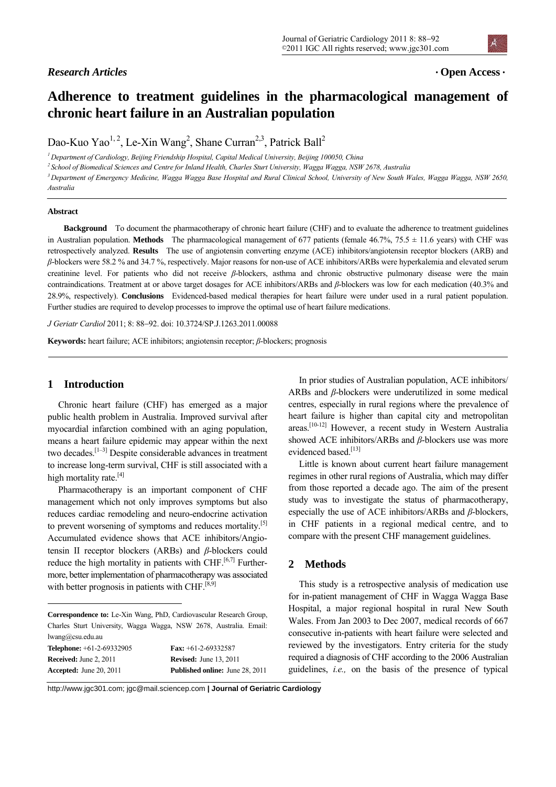# **Adherence to treatment guidelines in the pharmacological management of chronic heart failure in an Australian population**

Dao-Kuo Yao<sup>1, 2</sup>, Le-Xin Wang<sup>2</sup>, Shane Curran<sup>2,3</sup>, Patrick Ball<sup>2</sup>

<sup>1</sup> Department of Cardiology, Beijing Friendship Hospital, Capital Medical University, Beijing 100050, China<br><sup>2</sup> School of Biomedical Sciences and Centre for Inland Health, Charles Sturt University, Wagga Wagga, NSW 2678, *Australia* 

#### **Abstract**

**Background** To document the pharmacotherapy of chronic heart failure (CHF) and to evaluate the adherence to treatment guidelines in Australian population. **Methods** The pharmacological management of 677 patients (female 46.7%, 75.5 ± 11.6 years) with CHF was retrospectively analyzed. **Results** The use of angiotensin converting enzyme (ACE) inhibitors/angiotensin receptor blockers (ARB) and *β*-blockers were 58.2 % and 34.7 %, respectively. Major reasons for non-use of ACE inhibitors/ARBs were hyperkalemia and elevated serum creatinine level. For patients who did not receive *β*-blockers, asthma and chronic obstructive pulmonary disease were the main contraindications. Treatment at or above target dosages for ACE inhibitors/ARBs and *β*-blockers was low for each medication (40.3% and 28.9%, respectively). **Conclusions** Evidenced-based medical therapies for heart failure were under used in a rural patient population. Further studies are required to develop processes to improve the optimal use of heart failure medications.

*J Geriatr Cardiol* 2011; 8: 88-92. doi: 10.3724/SP.J.1263.2011.00088

**Keywords:** heart failure; ACE inhibitors; angiotensin receptor; *β*-blockers; prognosis

## **1 Introduction**

 $\overline{a}$ 

Chronic heart failure (CHF) has emerged as a major public health problem in Australia. Improved survival after myocardial infarction combined with an aging population, means a heart failure epidemic may appear within the next two decades.<sup>[1-3]</sup> Despite considerable advances in treatment to increase long-term survival, CHF is still associated with a high mortality rate.<sup>[4]</sup>

Pharmacotherapy is an important component of CHF management which not only improves symptoms but also reduces cardiac remodeling and neuro-endocrine activation to prevent worsening of symptoms and reduces mortality.<sup>[5]</sup> Accumulated evidence shows that ACE inhibitors/Angiotensin II receptor blockers (ARBs) and *β*-blockers could reduce the high mortality in patients with CHF. $[6,7]$  Furthermore, better implementation of pharmacotherapy was associated with better prognosis in patients with CHF. $[8,9]$ 

**Correspondence to:** Le-Xin Wang, PhD, Cardiovascular Research Group, Charles Sturt University, Wagga Wagga, NSW 2678, Australia. Email: lwang@csu.edu.au **Telephone:** +61-2-69332905 **Fax:** +61-2-69332587

| <b>Received:</b> June 2, 2011  | <b>Revised:</b> June 13, 2011          |
|--------------------------------|----------------------------------------|
| <b>Accepted:</b> June 20, 2011 | <b>Published online:</b> June 28, 2011 |

In prior studies of Australian population, ACE inhibitors/ ARBs and *β*-blockers were underutilized in some medical centres, especially in rural regions where the prevalence of heart failure is higher than capital city and metropolitan areas.[10-12] However, a recent study in Western Australia showed ACE inhibitors/ARBs and *β*-blockers use was more evidenced based.<sup>[13]</sup>

Little is known about current heart failure management regimes in other rural regions of Australia, which may differ from those reported a decade ago. The aim of the present study was to investigate the status of pharmacotherapy, especially the use of ACE inhibitors/ARBs and *β*-blockers, in CHF patients in a regional medical centre, and to compare with the present CHF management guidelines.

## **2 Methods**

This study is a retrospective analysis of medication use for in-patient management of CHF in Wagga Wagga Base Hospital, a major regional hospital in rural New South Wales. From Jan 2003 to Dec 2007, medical records of 667 consecutive in-patients with heart failure were selected and reviewed by the investigators. Entry criteria for the study required a diagnosis of CHF according to the 2006 Australian guidelines, *i.e.,* on the basis of the presence of typical

http://www.jgc301.com; jgc@mail.sciencep.com **| Journal of Geriatric Cardiology**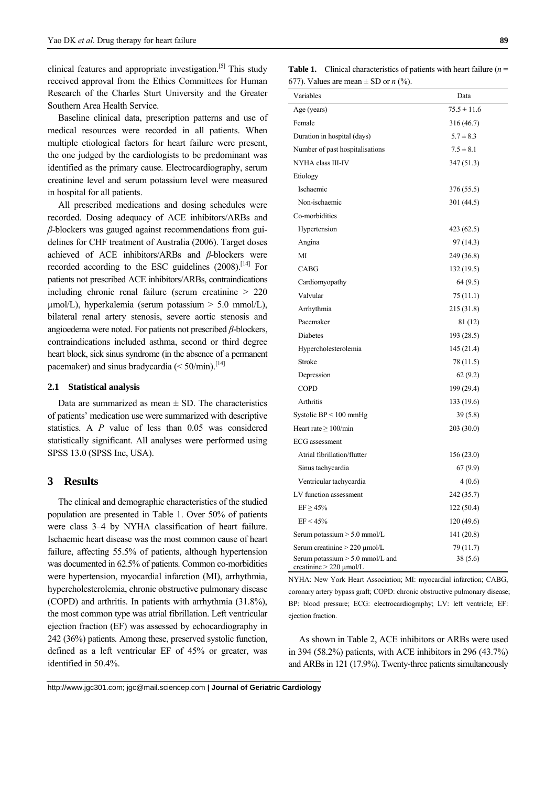clinical features and appropriate investigation.[5] This study received approval from the Ethics Committees for Human Research of the Charles Sturt University and the Greater Southern Area Health Service.

Baseline clinical data, prescription patterns and use of medical resources were recorded in all patients. When multiple etiological factors for heart failure were present, the one judged by the cardiologists to be predominant was identified as the primary cause. Electrocardiography, serum creatinine level and serum potassium level were measured in hospital for all patients.

All prescribed medications and dosing schedules were recorded. Dosing adequacy of ACE inhibitors/ARBs and *β*-blockers was gauged against recommendations from guidelines for CHF treatment of Australia (2006). Target doses achieved of ACE inhibitors/ARBs and *β*-blockers were recorded according to the ESC guidelines  $(2008)$ .<sup>[14]</sup> For patients not prescribed ACE inhibitors/ARBs, contraindications including chronic renal failure (serum creatinine > 220  $\mu$ mol/L), hyperkalemia (serum potassium > 5.0 mmol/L), bilateral renal artery stenosis, severe aortic stenosis and angioedema were noted. For patients not prescribed *β*-blockers, contraindications included asthma, second or third degree heart block, sick sinus syndrome (in the absence of a permanent pacemaker) and sinus bradycardia  $(< 50/$ min).<sup>[14]</sup>

#### **2.1 Statistical analysis**

Data are summarized as mean  $\pm$  SD. The characteristics of patients' medication use were summarized with descriptive statistics. A *P* value of less than 0.05 was considered statistically significant. All analyses were performed using SPSS 13.0 (SPSS Inc, USA).

## **3 Results**

The clinical and demographic characteristics of the studied population are presented in Table 1. Over 50% of patients were class 3–4 by NYHA classification of heart failure. Ischaemic heart disease was the most common cause of heart failure, affecting 55.5% of patients, although hypertension was documented in 62.5% of patients. Common co-morbidities were hypertension, myocardial infarction (MI), arrhythmia, hypercholesterolemia, chronic obstructive pulmonary disease (COPD) and arthritis. In patients with arrhythmia (31.8%), the most common type was atrial fibrillation. Left ventricular ejection fraction (EF) was assessed by echocardiography in 242 (36%) patients. Among these, preserved systolic function, defined as a left ventricular EF of 45% or greater, was identified in 50.4%.

**Table 1.** Clinical characteristics of patients with heart failure (*n* = 677). Values are mean  $\pm$  SD or *n* (%).

| Variables                                                          | Data            |
|--------------------------------------------------------------------|-----------------|
| Age (years)                                                        | $75.5 \pm 11.6$ |
| Female                                                             | 316 (46.7)      |
| Duration in hospital (days)                                        | $5.7 \pm 8.3$   |
| Number of past hospitalisations                                    | $7.5 \pm 8.1$   |
| NYHA class III-IV                                                  | 347 (51.3)      |
| Etiology                                                           |                 |
| Ischaemic                                                          | 376 (55.5)      |
| Non-ischaemic                                                      | 301 (44.5)      |
| Co-morbidities                                                     |                 |
| Hypertension                                                       | 423 (62.5)      |
| Angina                                                             | 97 (14.3)       |
| MI                                                                 | 249 (36.8)      |
| <b>CABG</b>                                                        | 132 (19.5)      |
| Cardiomyopathy                                                     | 64(9.5)         |
| Valvular                                                           | 75 (11.1)       |
| Arrhythmia                                                         | 215 (31.8)      |
| Pacemaker                                                          | 81 (12)         |
| <b>Diabetes</b>                                                    | 193 (28.5)      |
| Hypercholesterolemia                                               | 145 (21.4)      |
| Stroke                                                             | 78 (11.5)       |
| Depression                                                         | 62(9.2)         |
| <b>COPD</b>                                                        | 199 (29.4)      |
| Arthritis                                                          | 133 (19.6)      |
| Systolic $BP < 100$ mmHg                                           | 39(5.8)         |
| Heart rate $\geq 100$ /min                                         | 203 (30.0)      |
| <b>ECG</b> assessment                                              |                 |
| Atrial fibrillation/flutter                                        | 156 (23.0)      |
| Sinus tachycardia                                                  | 67(9.9)         |
| Ventricular tachycardia                                            | 4(0.6)          |
| LV function assessment                                             | 242 (35.7)      |
| $EF \geq 45\%$                                                     | 122 (50.4)      |
| EF < 45%                                                           | 120 (49.6)      |
| Serum potassium > 5.0 mmol/L                                       | 141 (20.8)      |
| Serum creatinine $> 220 \mu$ mol/L                                 | 79 (11.7)       |
| Serum potassium $> 5.0$ mmol/L and<br>creatinine $> 220 \mu$ mol/L | 38 (5.6)        |

NYHA: New York Heart Association; MI: myocardial infarction; CABG, coronary artery bypass graft; COPD: chronic obstructive pulmonary disease; BP: blood pressure; ECG: electrocardiography; LV: left ventricle; EF: ejection fraction.

As shown in Table 2, ACE inhibitors or ARBs were used in 394 (58.2%) patients, with ACE inhibitors in 296 (43.7%) and ARBs in 121 (17.9%). Twenty-three patients simultaneously

http://www.jgc301.com; jgc@mail.sciencep.com **| Journal of Geriatric Cardiology**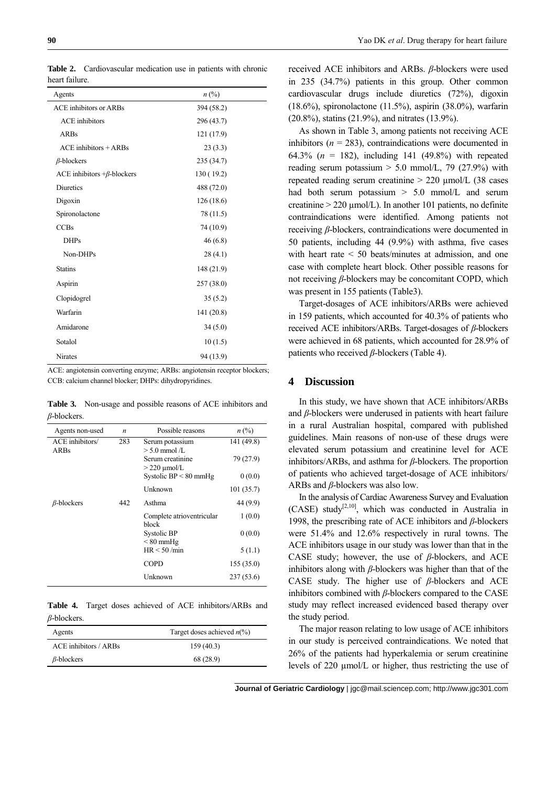| Agents                            | $n\ (\%)$  |  |
|-----------------------------------|------------|--|
| <b>ACE</b> inhibitors or ARBs     | 394 (58.2) |  |
| <b>ACE</b> inhibitors             | 296 (43.7) |  |
| <b>ARBs</b>                       | 121 (17.9) |  |
| $ACE$ inhibitors $+ARBs$          | 23(3.3)    |  |
| $\beta$ -blockers                 | 235 (34.7) |  |
| ACE inhibitors $+\beta$ -blockers | 130 (19.2) |  |
| <b>Diuretics</b>                  | 488 (72.0) |  |
| Digoxin                           | 126(18.6)  |  |
| Spironolactone                    | 78 (11.5)  |  |
| <b>CCBs</b>                       | 74 (10.9)  |  |
| <b>DHPs</b>                       | 46(6.8)    |  |
| Non-DHPs                          | 28(4.1)    |  |
| <b>Statins</b>                    | 148 (21.9) |  |
| Aspirin                           | 257 (38.0) |  |
| Clopidogrel                       | 35(5.2)    |  |
| Warfarin                          | 141 (20.8) |  |
| Amidarone                         | 34(5.0)    |  |
| Sotalol                           | 10(1.5)    |  |
| <b>Nirates</b>                    | 94 (13.9)  |  |

**Table 2.** Cardiovascular medication use in patients with chronic heart failure.

ACE: angiotensin converting enzyme; ARBs: angiotensin receptor blockers; CCB: calcium channel blocker; DHPs: dihydropyridines.

**Table 3.** Non-usage and possible reasons of ACE inhibitors and *β*-blockers.

| Agents non-used   | $\boldsymbol{n}$ | Possible reasons                   | $n\ (\%)$  |
|-------------------|------------------|------------------------------------|------------|
| ACE inhibitors/   | 283              | Serum potassium                    | 141 (49.8) |
| <b>ARBs</b>       |                  | $> 5.0$ mmol $/L$                  |            |
|                   |                  | Serum creatinine                   | 79 (27.9)  |
|                   |                  | $>$ 220 $\mu$ mol/L                |            |
|                   |                  | Systolic $BP < 80$ mmHg            | 0(0.0)     |
|                   |                  | <b>Unknown</b>                     | 101(35.7)  |
| $\beta$ -blockers | 442              | Asthma                             | 44 (9.9)   |
|                   |                  | Complete atrioventricular<br>block | 1(0.0)     |
|                   |                  | Systolic BP                        | 0(0.0)     |
|                   |                  | $< 80$ mmHg                        |            |
|                   |                  | HR < 50 / min                      | 5(1.1)     |
|                   |                  | <b>COPD</b>                        | 155(35.0)  |
|                   |                  | Unknown                            | 237(53.6)  |

**Table 4.** Target doses achieved of ACE inhibitors/ARBs and *β*-blockers.

| Agents                | Target doses achieved $n\frac{6}{6}$ |
|-----------------------|--------------------------------------|
| ACE inhibitors / ARBs | 159(40.3)                            |
| $\beta$ -blockers     | 68 (28.9)                            |

received ACE inhibitors and ARBs. *β*-blockers were used in 235 (34.7%) patients in this group. Other common cardiovascular drugs include diuretics (72%), digoxin (18.6%), spironolactone (11.5%), aspirin (38.0%), warfarin (20.8%), statins (21.9%), and nitrates (13.9%).

As shown in Table 3, among patients not receiving ACE inhibitors ( $n = 283$ ), contraindications were documented in 64.3% (*n* = 182), including 141 (49.8%) with repeated reading serum potassium  $> 5.0$  mmol/L, 79 (27.9%) with repeated reading serum creatinine  $> 220 \mu$ mol/L (38 cases had both serum potassium > 5.0 mmol/L and serum creatinine  $> 220 \text{ µmol/L}$ . In another 101 patients, no definite contraindications were identified. Among patients not receiving *β*-blockers, contraindications were documented in 50 patients, including 44 (9.9%) with asthma, five cases with heart rate  $\leq 50$  beats/minutes at admission, and one case with complete heart block. Other possible reasons for not receiving *β*-blockers may be concomitant COPD, which was present in 155 patients (Table3).

Target-dosages of ACE inhibitors/ARBs were achieved in 159 patients, which accounted for 40.3% of patients who received ACE inhibitors/ARBs. Target-dosages of *β*-blockers were achieved in 68 patients, which accounted for 28.9% of patients who received *β*-blockers (Table 4).

## **4 Discussion**

In this study, we have shown that ACE inhibitors/ARBs and *β*-blockers were underused in patients with heart failure in a rural Australian hospital, compared with published guidelines. Main reasons of non-use of these drugs were elevated serum potassium and creatinine level for ACE inhibitors/ARBs, and asthma for *β*-blockers. The proportion of patients who achieved target-dosage of ACE inhibitors/ ARBs and *β*-blockers was also low.

In the analysis of Cardiac Awareness Survey and Evaluation  $(CASE)$  study<sup>[2,10]</sup>, which was conducted in Australia in 1998, the prescribing rate of ACE inhibitors and *β*-blockers were 51.4% and 12.6% respectively in rural towns. The ACE inhibitors usage in our study was lower than that in the CASE study; however, the use of *β*-blockers, and ACE inhibitors along with *β*-blockers was higher than that of the CASE study. The higher use of *β*-blockers and ACE inhibitors combined with *β*-blockers compared to the CASE study may reflect increased evidenced based therapy over the study period.

The major reason relating to low usage of ACE inhibitors in our study is perceived contraindications. We noted that 26% of the patients had hyperkalemia or serum creatinine levels of 220 µmol/L or higher, thus restricting the use of

 **Journal of Geriatric Cardiology** | jgc@mail.sciencep.com; http://www.jgc301.com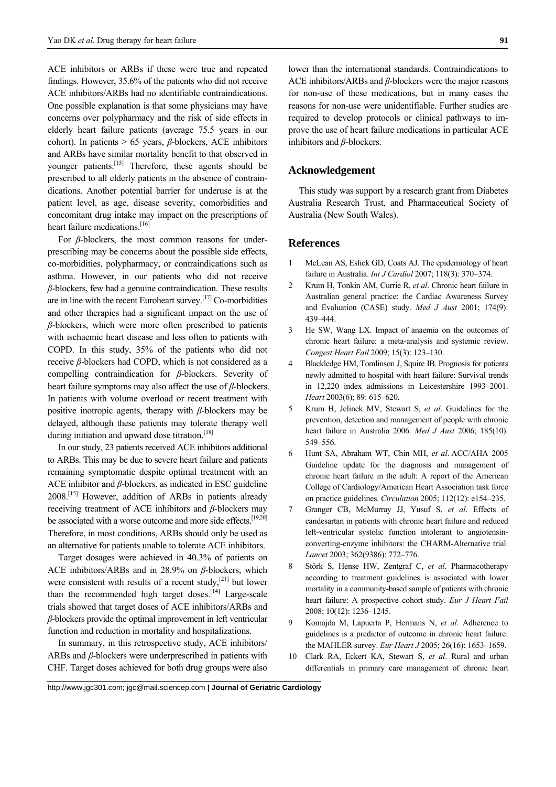ACE inhibitors or ARBs if these were true and repeated findings. However, 35.6% of the patients who did not receive ACE inhibitors/ARBs had no identifiable contraindications. One possible explanation is that some physicians may have concerns over polypharmacy and the risk of side effects in elderly heart failure patients (average 75.5 years in our cohort). In patients > 65 years, *β*-blockers, ACE inhibitors and ARBs have similar mortality benefit to that observed in younger patients.<sup>[15]</sup> Therefore, these agents should be prescribed to all elderly patients in the absence of contraindications. Another potential barrier for underuse is at the patient level, as age, disease severity, comorbidities and concomitant drug intake may impact on the prescriptions of heart failure medications.<sup>[16]</sup>

For *β*-blockers, the most common reasons for underprescribing may be concerns about the possible side effects, co-morbidities, polypharmacy, or contraindications such as asthma. However, in our patients who did not receive *β*-blockers, few had a genuine contraindication. These results are in line with the recent Euroheart survey.[17] Co-morbidities and other therapies had a significant impact on the use of *β*-blockers, which were more often prescribed to patients with ischaemic heart disease and less often to patients with COPD. In this study, 35% of the patients who did not receive *β*-blockers had COPD, which is not considered as a compelling contraindication for *β*-blockers. Severity of heart failure symptoms may also affect the use of *β*-blockers. In patients with volume overload or recent treatment with positive inotropic agents, therapy with *β*-blockers may be delayed, although these patients may tolerate therapy well during initiation and upward dose titration.<sup>[18]</sup>

In our study, 23 patients received ACE inhibitors additional to ARBs. This may be due to severe heart failure and patients remaining symptomatic despite optimal treatment with an ACE inhibitor and *β*-blockers, as indicated in ESC guideline 2008.[15] However, addition of ARBs in patients already receiving treatment of ACE inhibitors and *β*-blockers may be associated with a worse outcome and more side effects.<sup>[19,20]</sup> Therefore, in most conditions, ARBs should only be used as an alternative for patients unable to tolerate ACE inhibitors.

Target dosages were achieved in 40.3% of patients on ACE inhibitors/ARBs and in 28.9% on *β*-blockers, which were consistent with results of a recent study,<sup>[21]</sup> but lower than the recommended high target doses.<sup>[14]</sup> Large-scale trials showed that target doses of ACE inhibitors/ARBs and *β*-blockers provide the optimal improvement in left ventricular function and reduction in mortality and hospitalizations.

In summary, in this retrospective study, ACE inhibitors/ ARBs and *β*-blockers were underprescribed in patients with CHF. Target doses achieved for both drug groups were also

lower than the international standards. Contraindications to ACE inhibitors/ARBs and *β*-blockers were the major reasons for non-use of these medications, but in many cases the reasons for non-use were unidentifiable. Further studies are required to develop protocols or clinical pathways to improve the use of heart failure medications in particular ACE inhibitors and *β*-blockers.

## **Acknowledgement**

This study was support by a research grant from Diabetes Australia Research Trust, and Pharmaceutical Society of Australia (New South Wales).

## **References**

- 1 McLean AS, Eslick GD, Coats AJ. The epidemiology of heart failure in Australia. *Int J Cardiol* 2007; 118(3): 370-374.
- 2 Krum H, Tonkin AM, Currie R, *et al*. Chronic heart failure in Australian general practice: the Cardiac Awareness Survey and Evaluation (CASE) study. *Med J Aust* 2001; 174(9): 439–444.
- 3 He SW, Wang LX. Impact of anaemia on the outcomes of chronic heart failure: a meta-analysis and systemic review. *Congest Heart Fail* 2009; 15(3): 123–130.
- 4 Blackledge HM, Tomlinson J, Squire IB. Prognosis for patients newly admitted to hospital with heart failure: Survival trends in 12,220 index admissions in Leicestershire 1993–2001. *Heart* 2003(6); 89: 615–620.
- 5 Krum H, Jelinek MV, Stewart S, *et al*. Guidelines for the prevention, detection and management of people with chronic heart failure in Australia 2006. *Med J Aust* 2006; 185(10): 549–556.
- 6 Hunt SA, Abraham WT, Chin MH, *et al*. ACC/AHA 2005 Guideline update for the diagnosis and management of chronic heart failure in the adult: A report of the American College of Cardiology/American Heart Association task force on practice guidelines. *Circulation* 2005; 112(12): e154–235.
- 7 Granger CB, McMurray JJ, Yusuf S, *et al*. Effects of candesartan in patients with chronic heart failure and reduced left-ventricular systolic function intolerant to angiotensinconverting-enzyme inhibitors: the CHARM-Alternative trial. *Lancet* 2003; 362(9386): 772–776.
- 8 Störk S, Hense HW, Zentgraf C, *et al*. Pharmacotherapy according to treatment guidelines is associated with lower mortality in a community-based sample of patients with chronic heart failure: A prospective cohort study. *Eur J Heart Fail* 2008; 10(12): 1236–1245.
- 9 Komajda M, Lapuerta P, Hermans N, *et al*. Adherence to guidelines is a predictor of outcome in chronic heart failure: the MAHLER survey. *Eur Heart J* 2005; 26(16): 1653–1659.
- 10 Clark RA, Eckert KA, Stewart S, *et al*. Rural and urban differentials in primary care management of chronic heart

http://www.jgc301.com; jgc@mail.sciencep.com **| Journal of Geriatric Cardiology**